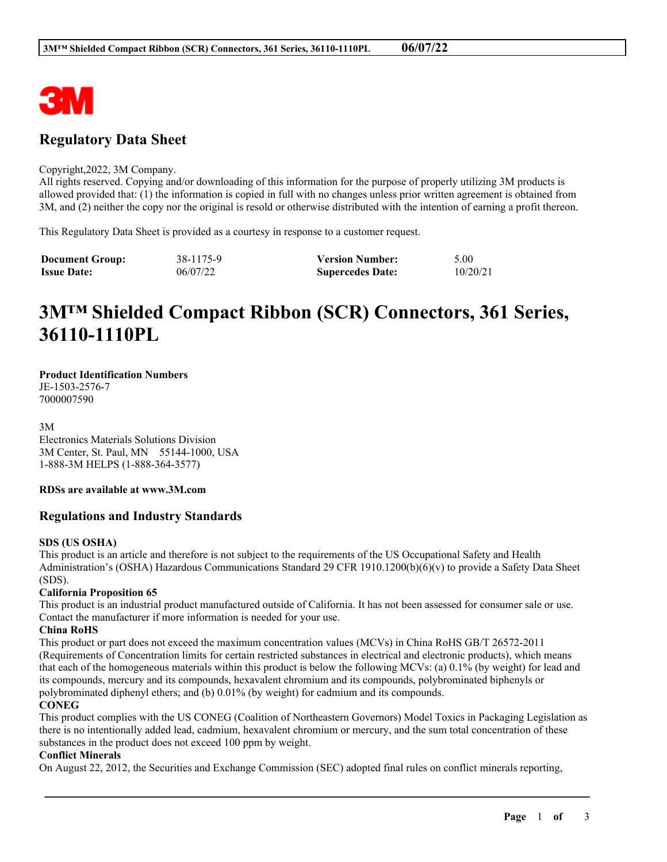

## **Regulatory Data Sheet**

#### Copyright,2022, 3M Company.

All rights reserved. Copying and/or downloading of this information for the purpose of properly utilizing 3M products is allowed provided that: (1) the information is copied in full with no changes unless prior written agreement is obtained from 3M, and (2) neither the copy nor the original is resold or otherwise distributed with the intention of earning a profit thereon.

This Regulatory Data Sheet is provided as a courtesy in response to a customer request.

| <b>Document Group:</b> | 38-1175-9 | <b>Version Number:</b>  | 5.00     |
|------------------------|-----------|-------------------------|----------|
| <b>Issue Date:</b>     | 06/07/22  | <b>Supercedes Date:</b> | 10/20/21 |

# **3M™ Shielded Compact Ribbon (SCR) Connectors, 361 Series, 36110-1110PL**

#### **Product Identification Numbers**

JE-1503-2576-7 7000007590

3M

Electronics Materials Solutions Division 3M Center, St. Paul, MN 55144-1000, USA 1-888-3M HELPS (1-888-364-3577)

#### **RDSs are available at www.3M.com**

#### **Regulations and Industry Standards**

#### **SDS (US OSHA)**

This product is an article and therefore is not subject to the requirements of the US Occupational Safety and Health Administration's (OSHA) Hazardous Communications Standard 29 CFR 1910.1200(b)(6)(v) to provide a Safety Data Sheet (SDS).

#### **California Proposition 65**

This product is an industrial product manufactured outside of California. It has not been assessed for consumer sale or use. Contact the manufacturer if more information is needed for your use.

#### **China RoHS**

This product or part does not exceed the maximum concentration values (MCVs) in China RoHS GB/T 26572-2011 (Requirements of Concentration limits for certain restricted substances in electrical and electronic products), which means that each of the homogeneous materials within this product is below the following MCVs: (a) 0.1% (by weight) for lead and its compounds, mercury and its compounds, hexavalent chromium and its compounds, polybrominated biphenyls or polybrominated diphenyl ethers; and (b) 0.01% (by weight) for cadmium and its compounds.

#### **CONEG**

This product complies with the US CONEG (Coalition of Northeastern Governors) Model Toxics in Packaging Legislation as there is no intentionally added lead, cadmium, hexavalent chromium or mercury, and the sum total concentration of these substances in the product does not exceed 100 ppm by weight.

\_\_\_\_\_\_\_\_\_\_\_\_\_\_\_\_\_\_\_\_\_\_\_\_\_\_\_\_\_\_\_\_\_\_\_\_\_\_\_\_\_\_\_\_\_\_\_\_\_\_\_\_\_\_\_\_\_\_\_\_\_\_\_\_\_\_\_\_\_\_\_\_\_\_\_\_\_\_\_\_\_\_\_\_\_\_\_\_\_\_

#### **Conflict Minerals**

On August 22, 2012, the Securities and Exchange Commission (SEC) adopted final rules on conflict minerals reporting,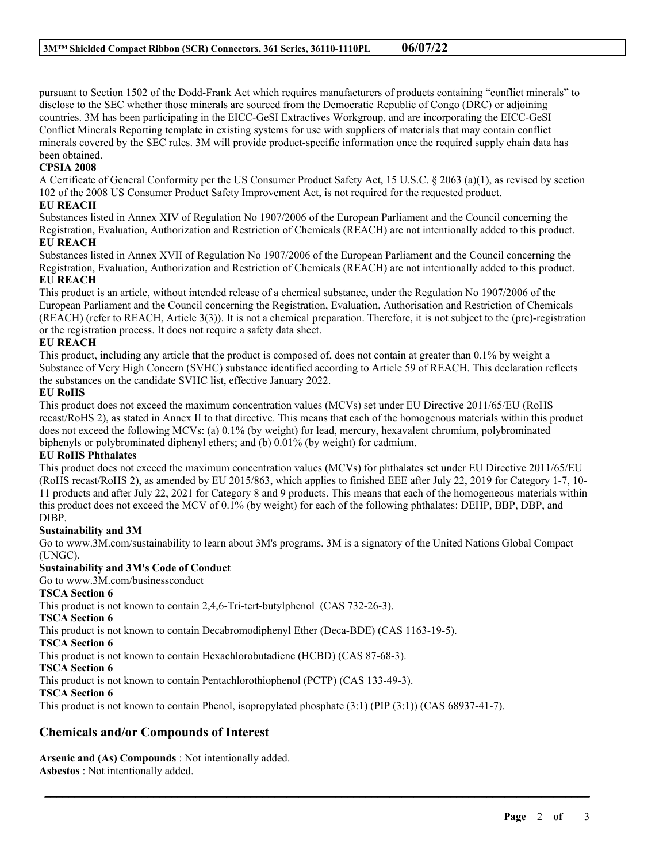pursuant to Section 1502 of the Dodd-Frank Act which requires manufacturers of products containing "conflict minerals" to disclose to the SEC whether those minerals are sourced from the Democratic Republic of Congo (DRC) or adjoining countries. 3M has been participating in the EICC-GeSI Extractives Workgroup, and are incorporating the EICC-GeSI Conflict Minerals Reporting template in existing systems for use with suppliers of materials that may contain conflict minerals covered by the SEC rules. 3M will provide product-specific information once the required supply chain data has been obtained.

#### **CPSIA 2008**

A Certificate of General Conformity per the US Consumer Product Safety Act, 15 U.S.C. § 2063 (a)(1), as revised by section 102 of the 2008 US Consumer Product Safety Improvement Act, is not required for the requested product.

#### **EU REACH**

Substances listed in Annex XIV of Regulation No 1907/2006 of the European Parliament and the Council concerning the Registration, Evaluation, Authorization and Restriction of Chemicals (REACH) are not intentionally added to this product.

#### **EU REACH**

Substances listed in Annex XVII of Regulation No 1907/2006 of the European Parliament and the Council concerning the Registration, Evaluation, Authorization and Restriction of Chemicals (REACH) are not intentionally added to this product. **EU REACH**

This product is an article, without intended release of a chemical substance, under the Regulation No 1907/2006 of the European Parliament and the Council concerning the Registration, Evaluation, Authorisation and Restriction of Chemicals (REACH) (refer to REACH, Article 3(3)). It is not a chemical preparation. Therefore, it is not subject to the (pre)-registration or the registration process. It does not require a safety data sheet.

#### **EU REACH**

This product, including any article that the product is composed of, does not contain at greater than 0.1% by weight a Substance of Very High Concern (SVHC) substance identified according to Article 59 of REACH. This declaration reflects the substances on the candidate SVHC list, effective January 2022.

#### **EU RoHS**

This product does not exceed the maximum concentration values (MCVs) set under EU Directive 2011/65/EU (RoHS recast/RoHS 2), as stated in Annex II to that directive. This means that each of the homogenous materials within this product does not exceed the following MCVs: (a) 0.1% (by weight) for lead, mercury, hexavalent chromium, polybrominated biphenyls or polybrominated diphenyl ethers; and (b) 0.01% (by weight) for cadmium.

#### **EU RoHS Phthalates**

This product does not exceed the maximum concentration values (MCVs) for phthalates set under EU Directive 2011/65/EU (RoHS recast/RoHS 2), as amended by EU 2015/863, which applies to finished EEE after July 22, 2019 for Category 1-7, 10- 11 products and after July 22, 2021 for Category 8 and 9 products. This means that each of the homogeneous materials within this product does not exceed the MCV of 0.1% (by weight) for each of the following phthalates: DEHP, BBP, DBP, and DIBP.

#### **Sustainability and 3M**

Go to www.3M.com/sustainability to learn about 3M's programs. 3M is a signatory of the United Nations Global Compact (UNGC).

\_\_\_\_\_\_\_\_\_\_\_\_\_\_\_\_\_\_\_\_\_\_\_\_\_\_\_\_\_\_\_\_\_\_\_\_\_\_\_\_\_\_\_\_\_\_\_\_\_\_\_\_\_\_\_\_\_\_\_\_\_\_\_\_\_\_\_\_\_\_\_\_\_\_\_\_\_\_\_\_\_\_\_\_\_\_\_\_\_\_

#### **Sustainability and 3M's Code of Conduct**

Go to www.3M.com/businessconduct

#### **TSCA Section 6**

This product is not known to contain 2,4,6-Tri-tert-butylphenol (CAS 732-26-3).

**TSCA Section 6**

This product is not known to contain Decabromodiphenyl Ether (Deca-BDE) (CAS 1163-19-5).

**TSCA Section 6**

This product is not known to contain Hexachlorobutadiene (HCBD) (CAS 87-68-3).

**TSCA Section 6**

This product is not known to contain Pentachlorothiophenol (PCTP) (CAS 133-49-3).

#### **TSCA Section 6**

This product is not known to contain Phenol, isopropylated phosphate (3:1) (PIP (3:1)) (CAS 68937-41-7).

### **Chemicals and/or Compounds of Interest**

**Arsenic and (As) Compounds** : Not intentionally added. **Asbestos** : Not intentionally added.